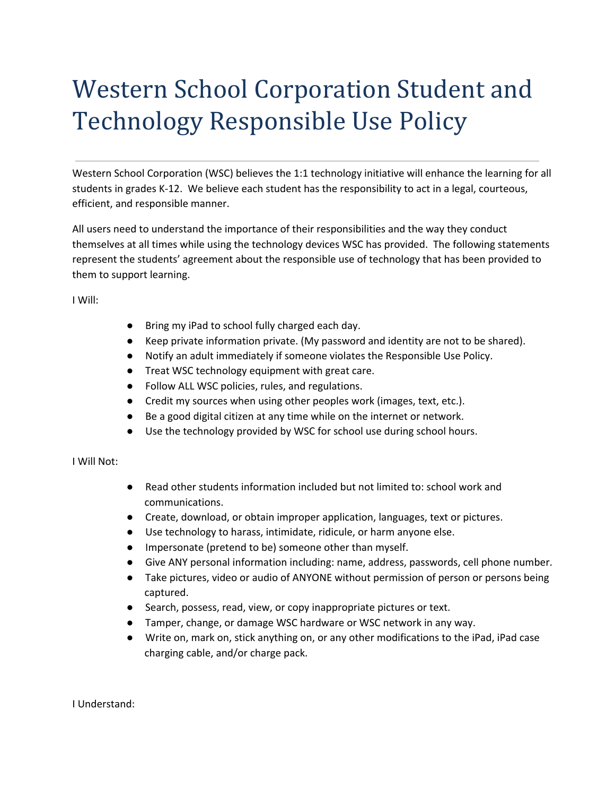## Western School Corporation Student and Technology Responsible Use Policy

Western School Corporation (WSC) believes the 1:1 technology initiative will enhance the learning for all students in grades K-12. We believe each student has the responsibility to act in a legal, courteous, efficient, and responsible manner.

All users need to understand the importance of their responsibilities and the way they conduct themselves at all times while using the technology devices WSC has provided. The following statements represent the students' agreement about the responsible use of technology that has been provided to them to support learning.

I Will:

- Bring my iPad to school fully charged each day.
- Keep private information private. (My password and identity are not to be shared).
- Notify an adult immediately if someone violates the Responsible Use Policy.
- Treat WSC technology equipment with great care.
- Follow ALL WSC policies, rules, and regulations.
- Credit my sources when using other peoples work (images, text, etc.).
- Be a good digital citizen at any time while on the internet or network.
- Use the technology provided by WSC for school use during school hours.

## I Will Not:

- Read other students information included but not limited to: school work and communications.
- Create, download, or obtain improper application, languages, text or pictures.
- Use technology to harass, intimidate, ridicule, or harm anyone else.
- Impersonate (pretend to be) someone other than myself.
- Give ANY personal information including: name, address, passwords, cell phone number.
- Take pictures, video or audio of ANYONE without permission of person or persons being captured.
- Search, possess, read, view, or copy inappropriate pictures or text.
- Tamper, change, or damage WSC hardware or WSC network in any way.
- Write on, mark on, stick anything on, or any other modifications to the iPad, iPad case charging cable, and/or charge pack.

I Understand: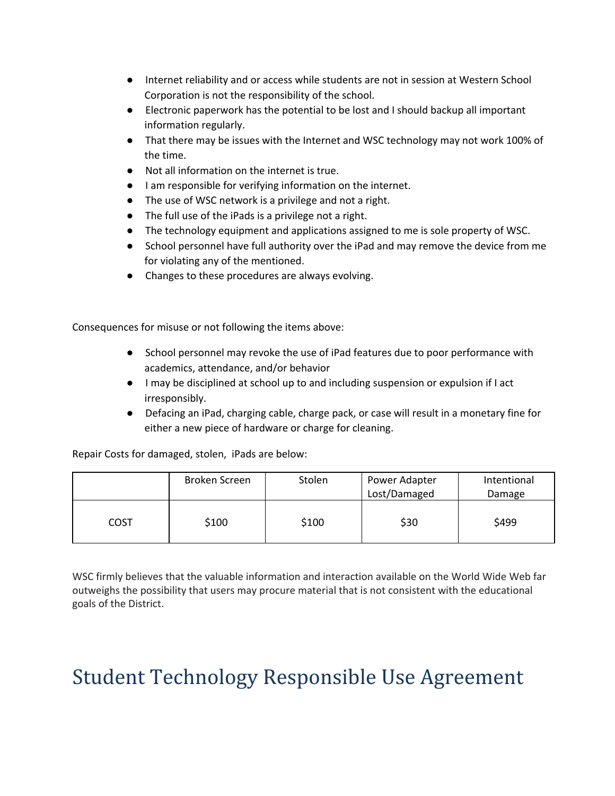- Internet reliability and or access while students are not in session at Western School Corporation is not the responsibility of the school.
- Electronic paperwork has the potential to be lost and I should backup all important information regularly.
- That there may be issues with the Internet and WSC technology may not work 100% of the time.
- Not all information on the internet is true.
- I am responsible for verifying information on the internet.
- The use of WSC network is a privilege and not a right.
- The full use of the iPads is a privilege not a right.
- The technology equipment and applications assigned to me is sole property of WSC.
- School personnel have full authority over the iPad and may remove the device from me for violating any of the mentioned.
- Changes to these procedures are always evolving.

Consequences for misuse or not following the items above:

- School personnel may revoke the use of iPad features due to poor performance with academics, attendance, and/or behavior
- I may be disciplined at school up to and including suspension or expulsion if I act irresponsibly.
- Defacing an iPad, charging cable, charge pack, or case will result in a monetary fine for either a new piece of hardware or charge for cleaning.

Repair Costs for damaged, stolen, iPads are below:

|             | <b>Broken Screen</b> | Stolen | Power Adapter<br>Lost/Damaged | Intentional<br>Damage |
|-------------|----------------------|--------|-------------------------------|-----------------------|
| <b>COST</b> | \$100                | \$100  | \$30                          | \$499                 |

WSC firmly believes that the valuable information and interaction available on the World Wide Web far outweighs the possibility that users may procure material that is not consistent with the educational goals of the District.

## Student Technology Responsible Use Agreement